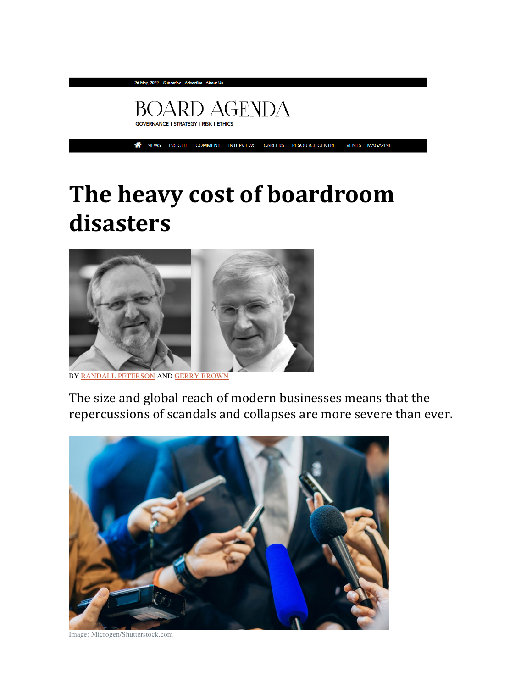

COMMENT INTERVIEWS CAREERS RESOURCE CENTRE EVENTS MAGAZINE <mark>∧</mark> NEWS INSIGHT

## The heavy cost of boardroom disasters



BY RANDALL PETERSON AND GERRY BROWN

The size and global reach of modern businesses means that the repercussions of scandals and collapses are more severe than ever.



Image: Microgen/Shutterstock.com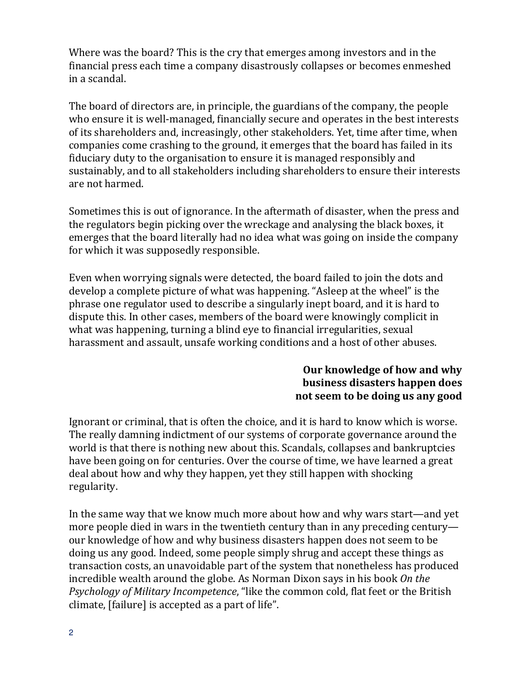Where was the board? This is the cry that emerges among investors and in the financial press each time a company disastrously collapses or becomes enmeshed in a scandal.

The board of directors are, in principle, the guardians of the company, the people who ensure it is well-managed, financially secure and operates in the best interests of its shareholders and, increasingly, other stakeholders. Yet, time after time, when companies come crashing to the ground, it emerges that the board has failed in its fiduciary duty to the organisation to ensure it is managed responsibly and sustainably, and to all stakeholders including shareholders to ensure their interests are not harmed.

Sometimes this is out of ignorance. In the aftermath of disaster, when the press and the regulators begin picking over the wreckage and analysing the black boxes, it emerges that the board literally had no idea what was going on inside the company for which it was supposedly responsible.

Even when worrying signals were detected, the board failed to join the dots and develop a complete picture of what was happening. "Asleep at the wheel" is the phrase one regulator used to describe a singularly inept board, and it is hard to dispute this. In other cases, members of the board were knowingly complicit in what was happening, turning a blind eye to financial irregularities, sexual harassment and assault, unsafe working conditions and a host of other abuses.

## Our knowledge of how and why business disasters happen does not seem to be doing us any good

Ignorant or criminal, that is often the choice, and it is hard to know which is worse. The really damning indictment of our systems of corporate governance around the world is that there is nothing new about this. Scandals, collapses and bankruptcies have been going on for centuries. Over the course of time, we have learned a great deal about how and why they happen, yet they still happen with shocking regularity.

In the same way that we know much more about how and why wars start—and yet more people died in wars in the twentieth century than in any preceding century our knowledge of how and why business disasters happen does not seem to be doing us any good. Indeed, some people simply shrug and accept these things as transaction costs, an unavoidable part of the system that nonetheless has produced incredible wealth around the globe. As Norman Dixon says in his book On the Psychology of Military Incompetence, "like the common cold, flat feet or the British climate, [failure] is accepted as a part of life".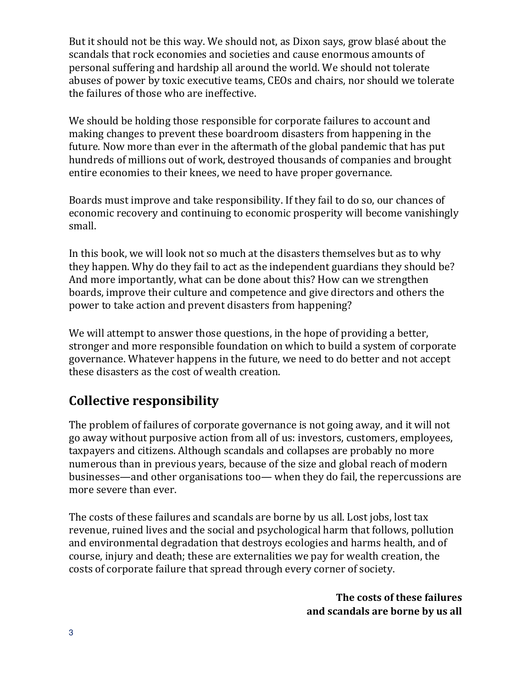But it should not be this way. We should not, as Dixon says, grow blasé about the scandals that rock economies and societies and cause enormous amounts of personal suffering and hardship all around the world. We should not tolerate abuses of power by toxic executive teams, CEOs and chairs, nor should we tolerate the failures of those who are ineffective.

We should be holding those responsible for corporate failures to account and making changes to prevent these boardroom disasters from happening in the future. Now more than ever in the aftermath of the global pandemic that has put hundreds of millions out of work, destroyed thousands of companies and brought entire economies to their knees, we need to have proper governance.

Boards must improve and take responsibility. If they fail to do so, our chances of economic recovery and continuing to economic prosperity will become vanishingly small.

In this book, we will look not so much at the disasters themselves but as to why they happen. Why do they fail to act as the independent guardians they should be? And more importantly, what can be done about this? How can we strengthen boards, improve their culture and competence and give directors and others the power to take action and prevent disasters from happening?

We will attempt to answer those questions, in the hope of providing a better, stronger and more responsible foundation on which to build a system of corporate governance. Whatever happens in the future, we need to do better and not accept these disasters as the cost of wealth creation.

## Collective responsibility

The problem of failures of corporate governance is not going away, and it will not go away without purposive action from all of us: investors, customers, employees, taxpayers and citizens. Although scandals and collapses are probably no more numerous than in previous years, because of the size and global reach of modern businesses—and other organisations too— when they do fail, the repercussions are more severe than ever.

The costs of these failures and scandals are borne by us all. Lost jobs, lost tax revenue, ruined lives and the social and psychological harm that follows, pollution and environmental degradation that destroys ecologies and harms health, and of course, injury and death; these are externalities we pay for wealth creation, the costs of corporate failure that spread through every corner of society.

> The costs of these failures and scandals are borne by us all